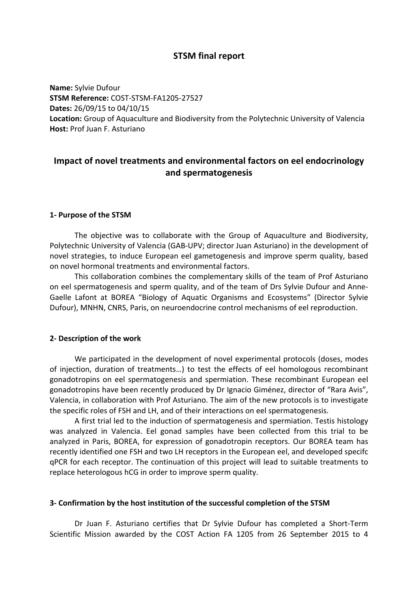# **STSM** final report

**Name:** Sylvie Dufour **STSM Reference:** COST-STSM-FA1205-27527 **Dates:** 26/09/15 to 04/10/15 **Location:** Group of Aquaculture and Biodiversity from the Polytechnic University of Valencia **Host: Prof Juan F. Asturiano** 

# **Impact of novel treatments and environmental factors on eel endocrinology and spermatogenesis**

## **1- Purpose of the STSM**

The objective was to collaborate with the Group of Aquaculture and Biodiversity, Polytechnic University of Valencia (GAB-UPV; director Juan Asturiano) in the development of novel strategies, to induce European eel gametogenesis and improve sperm quality, based on novel hormonal treatments and environmental factors.

This collaboration combines the complementary skills of the team of Prof Asturiano on eel spermatogenesis and sperm quality, and of the team of Drs Sylvie Dufour and Anne-Gaelle Lafont at BOREA "Biology of Aquatic Organisms and Ecosystems" (Director Sylvie Dufour), MNHN, CNRS, Paris, on neuroendocrine control mechanisms of eel reproduction.

### **2- Description of the work**

We participated in the development of novel experimental protocols (doses, modes of injection, duration of treatments...) to test the effects of eel homologous recombinant gonadotropins on eel spermatogenesis and spermiation. These recombinant European eel gonadotropins have been recently produced by Dr Ignacio Giménez, director of "Rara Avis", Valencia, in collaboration with Prof Asturiano. The aim of the new protocols is to investigate the specific roles of FSH and LH, and of their interactions on eel spermatogenesis.

A first trial led to the induction of spermatogenesis and spermiation. Testis histology was analyzed in Valencia. Eel gonad samples have been collected from this trial to be analyzed in Paris, BOREA, for expression of gonadotropin receptors. Our BOREA team has recently identified one FSH and two LH receptors in the European eel, and developed specifc qPCR for each receptor. The continuation of this project will lead to suitable treatments to replace heterologous hCG in order to improve sperm quality.

### **3- Confirmation by the host institution of the successful completion of the STSM**

Dr Juan F. Asturiano certifies that Dr Sylvie Dufour has completed a Short-Term Scientific Mission awarded by the COST Action FA 1205 from 26 September 2015 to 4